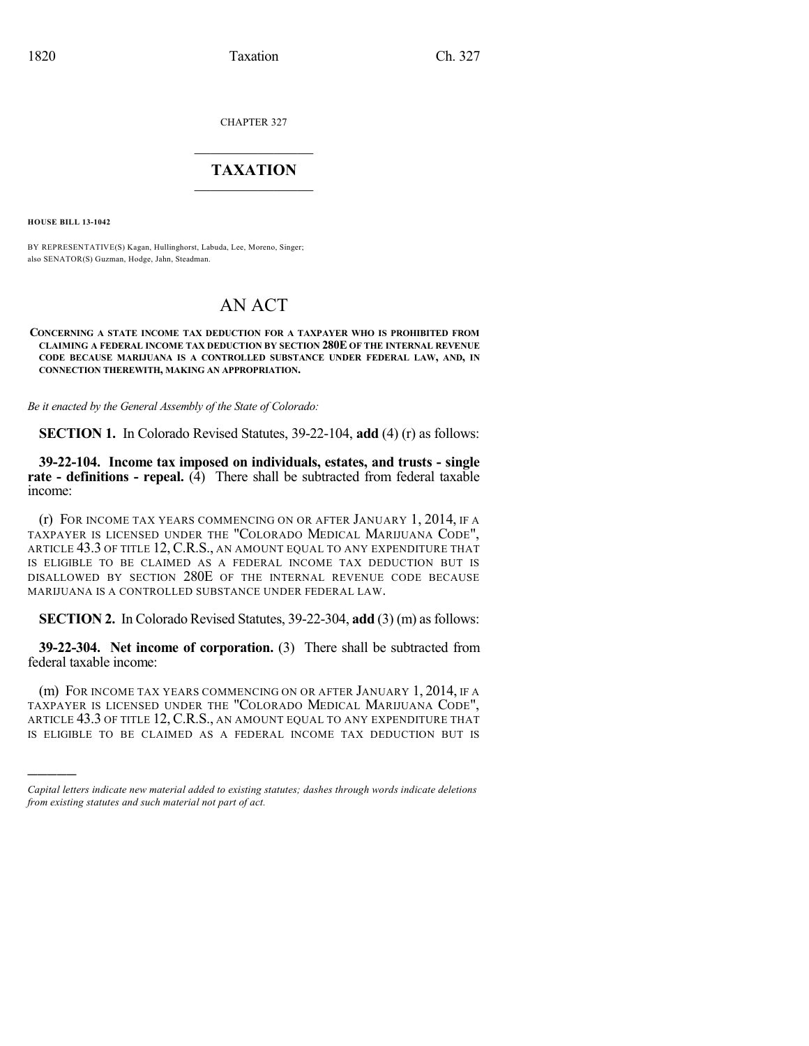CHAPTER 327

## $\mathcal{L}_\text{max}$  . The set of the set of the set of the set of the set of the set of the set of the set of the set of the set of the set of the set of the set of the set of the set of the set of the set of the set of the set **TAXATION**  $\_$

**HOUSE BILL 13-1042**

)))))

BY REPRESENTATIVE(S) Kagan, Hullinghorst, Labuda, Lee, Moreno, Singer; also SENATOR(S) Guzman, Hodge, Jahn, Steadman.

## AN ACT

**CONCERNING A STATE INCOME TAX DEDUCTION FOR A TAXPAYER WHO IS PROHIBITED FROM CLAIMING A FEDERAL INCOME TAX DEDUCTION BY SECTION 280E OF THE INTERNAL REVENUE CODE BECAUSE MARIJUANA IS A CONTROLLED SUBSTANCE UNDER FEDERAL LAW, AND, IN CONNECTION THEREWITH, MAKING AN APPROPRIATION.**

*Be it enacted by the General Assembly of the State of Colorado:*

**SECTION 1.** In Colorado Revised Statutes, 39-22-104, **add** (4) (r) as follows:

**39-22-104. Income tax imposed on individuals, estates, and trusts - single rate - definitions - repeal.** (4) There shall be subtracted from federal taxable income:

(r) FOR INCOME TAX YEARS COMMENCING ON OR AFTER JANUARY 1, 2014, IF A TAXPAYER IS LICENSED UNDER THE "COLORADO MEDICAL MARIJUANA CODE", ARTICLE 43.3 OF TITLE 12, C.R.S., AN AMOUNT EQUAL TO ANY EXPENDITURE THAT IS ELIGIBLE TO BE CLAIMED AS A FEDERAL INCOME TAX DEDUCTION BUT IS DISALLOWED BY SECTION 280E OF THE INTERNAL REVENUE CODE BECAUSE MARIJUANA IS A CONTROLLED SUBSTANCE UNDER FEDERAL LAW.

**SECTION 2.** In Colorado Revised Statutes, 39-22-304, **add** (3) (m) as follows:

**39-22-304. Net income of corporation.** (3) There shall be subtracted from federal taxable income:

(m) FOR INCOME TAX YEARS COMMENCING ON OR AFTER JANUARY 1, 2014, IF A TAXPAYER IS LICENSED UNDER THE "COLORADO MEDICAL MARIJUANA CODE", ARTICLE 43.3 OF TITLE 12, C.R.S., AN AMOUNT EQUAL TO ANY EXPENDITURE THAT IS ELIGIBLE TO BE CLAIMED AS A FEDERAL INCOME TAX DEDUCTION BUT IS

*Capital letters indicate new material added to existing statutes; dashes through words indicate deletions from existing statutes and such material not part of act.*